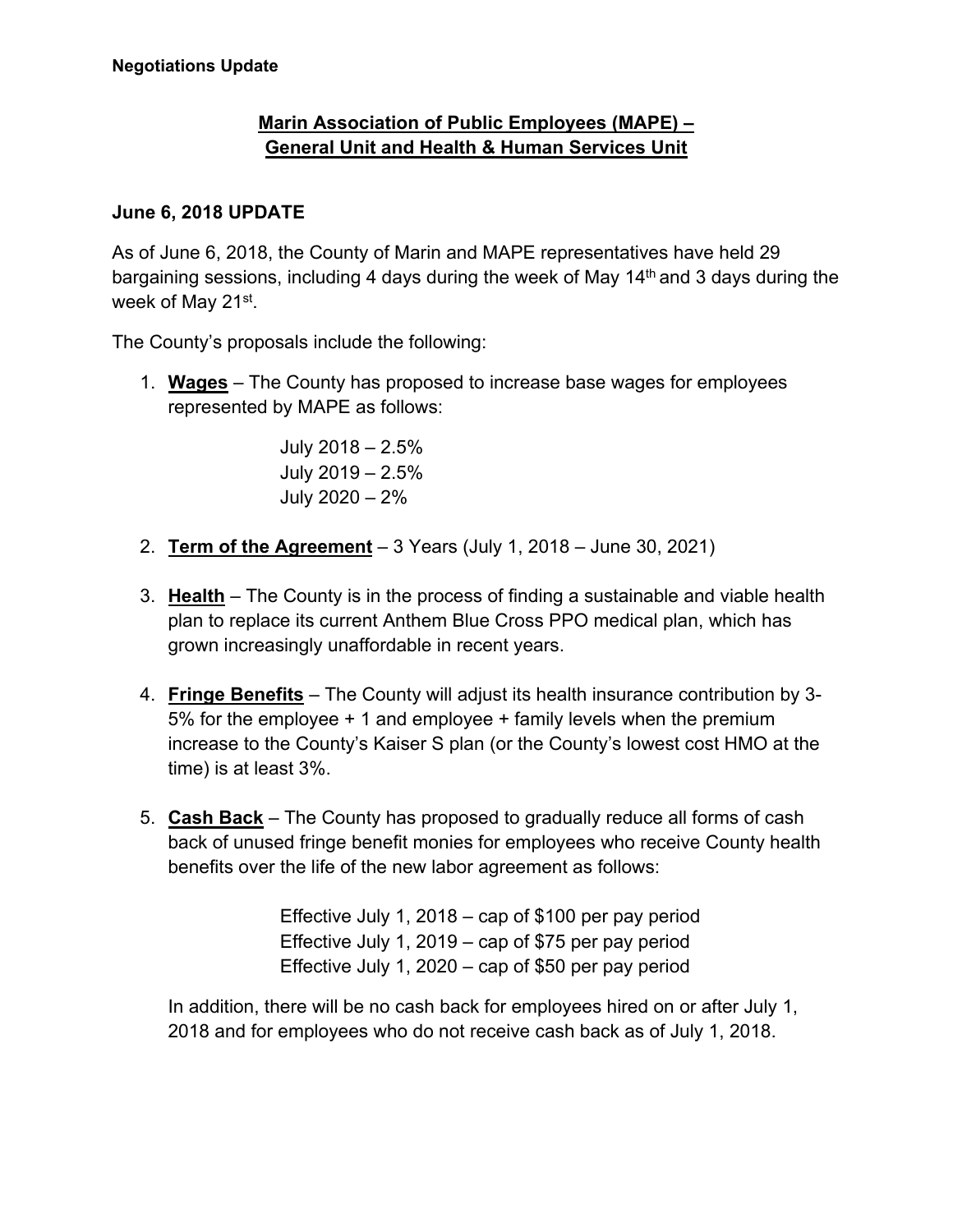## **Marin Association of Public Employees (MAPE) – General Unit and Health & Human Services Unit**

## **June 6, 2018 UPDATE**

As of June 6, 2018, the County of Marin and MAPE representatives have held 29 bargaining sessions, including 4 days during the week of May 14<sup>th</sup> and 3 days during the week of May 21st.

The County's proposals include the following:

1. **Wages** – The County has proposed to increase base wages for employees represented by MAPE as follows:

> July 2018 – 2.5% July 2019 – 2.5% July 2020 – 2%

- 2. **Term of the Agreement** 3 Years (July 1, 2018 June 30, 2021)
- 3. **Health** The County is in the process of finding a sustainable and viable health plan to replace its current Anthem Blue Cross PPO medical plan, which has grown increasingly unaffordable in recent years.
- 4. **Fringe Benefits** The County will adjust its health insurance contribution by 3- 5% for the employee + 1 and employee + family levels when the premium increase to the County's Kaiser S plan (or the County's lowest cost HMO at the time) is at least 3%.
- 5. **Cash Back** The County has proposed to gradually reduce all forms of cash back of unused fringe benefit monies for employees who receive County health benefits over the life of the new labor agreement as follows:

Effective July 1, 2018 – cap of \$100 per pay period Effective July 1, 2019 – cap of \$75 per pay period Effective July 1, 2020 – cap of \$50 per pay period

In addition, there will be no cash back for employees hired on or after July 1, 2018 and for employees who do not receive cash back as of July 1, 2018.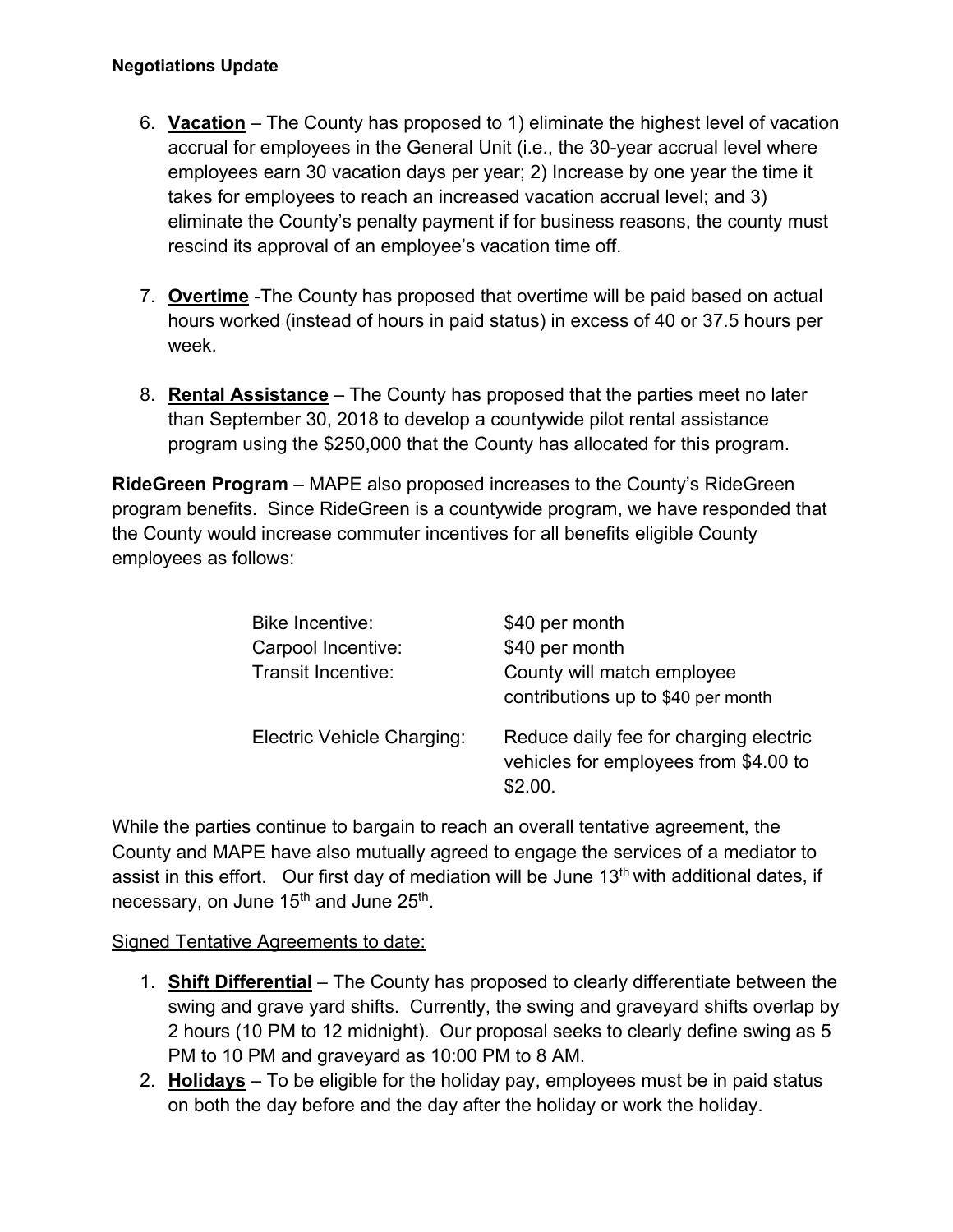- 6. **Vacation** The County has proposed to 1) eliminate the highest level of vacation accrual for employees in the General Unit (i.e., the 30-year accrual level where employees earn 30 vacation days per year; 2) Increase by one year the time it takes for employees to reach an increased vacation accrual level; and 3) eliminate the County's penalty payment if for business reasons, the county must rescind its approval of an employee's vacation time off.
- 7. **Overtime** -The County has proposed that overtime will be paid based on actual hours worked (instead of hours in paid status) in excess of 40 or 37.5 hours per week.
- 8. **Rental Assistance** The County has proposed that the parties meet no later than September 30, 2018 to develop a countywide pilot rental assistance program using the \$250,000 that the County has allocated for this program.

**RideGreen Program** – MAPE also proposed increases to the County's RideGreen program benefits. Since RideGreen is a countywide program, we have responded that the County would increase commuter incentives for all benefits eligible County employees as follows:

| <b>Bike Incentive:</b>     | \$40 per month                                                                             |
|----------------------------|--------------------------------------------------------------------------------------------|
| Carpool Incentive:         | \$40 per month                                                                             |
| Transit Incentive:         | County will match employee<br>contributions up to \$40 per month                           |
| Electric Vehicle Charging: | Reduce daily fee for charging electric<br>vehicles for employees from \$4.00 to<br>\$2.00. |

While the parties continue to bargain to reach an overall tentative agreement, the County and MAPE have also mutually agreed to engage the services of a mediator to assist in this effort. Our first day of mediation will be June  $13<sup>th</sup>$  with additional dates, if necessary, on June 15<sup>th</sup> and June 25<sup>th</sup>.

## Signed Tentative Agreements to date:

- 1. **Shift Differential** The County has proposed to clearly differentiate between the swing and grave yard shifts. Currently, the swing and graveyard shifts overlap by 2 hours (10 PM to 12 midnight). Our proposal seeks to clearly define swing as 5 PM to 10 PM and graveyard as 10:00 PM to 8 AM.
- 2. **Holidays**  To be eligible for the holiday pay, employees must be in paid status on both the day before and the day after the holiday or work the holiday.